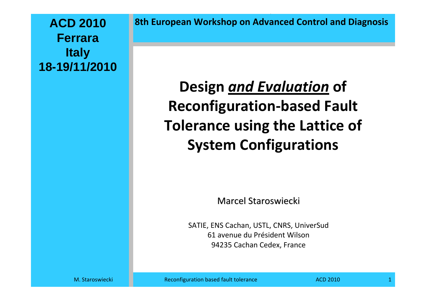**ACD 2010FerraraItaly 18-19/11/2010** **8th European Workshop on Advanced Control and Diagnosis**

# **Design** *and Evaluation* **of Reconfiguration‐based Fault Tolerance using the Lattice of System Configurations**

Marcel Staroswiecki

SATIE, ENS Cachan, USTL, CNRS, UniverSud 61 avenue du Président Wilson 94235 Cachan Cedex, France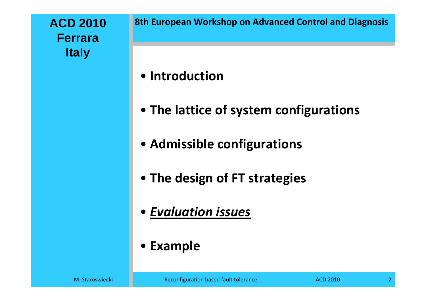### **ACD 2010FerraraItaly**

### • **Introduction**

- **The lattice of system configurations**
- **Admissible configurations**
- **The design of FT strategies**
- *Evaluation issues*
- **Example**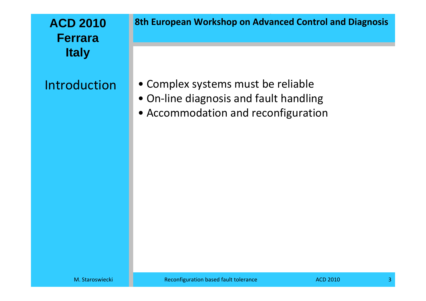### **ACD 2010FerraraItaly**

### Introduction

**8th European Workshop on Advanced Control and Diagnosis**

- Complex systems must be reliable
- On‐line diagnosis and fault handling
- Accommodation and reconfiguration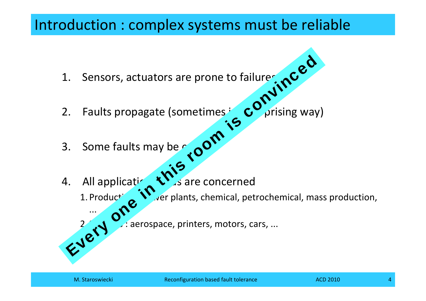## Introduction : complex systems must be reliable

- 1.
- Sensors, actuators are prone to failures and the Sensors, actuators are prone to failures and the Sensible Points of the Sensible Points of the Sensible Points of the Sensible Points of the Sensible Points of the Sensible 2.Faults propagate (sometimes  $\mathcal{C}'$  prising way) Every of the conventions of the conventions.<br>
Every one faults may be reported that all applications of the concerned<br>
Every plants, chemical, petrochemical, manufactured and conventions of the concerned<br>
The concerned at
- 3.Some faults may be  $\sim$
- 4. All application . All application  $\mathbf{V}$  is are concerned
	- 1. Production  $\sqrt{r}$  er plants, chemical, petrochemical, mass production,
		- $\therefore$  aerospace, printers, motors, cars, ...

...

2.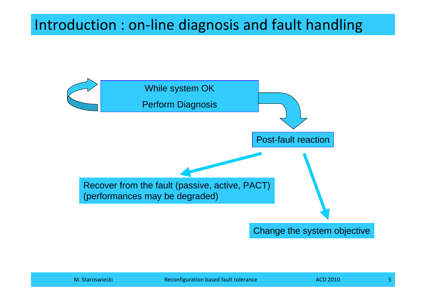# Introduction : on‐line diagnosis and fault handling

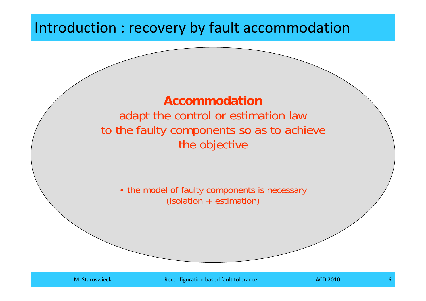## Introduction : recovery by fault accommodation

### **Accommodation**adapt the control or estimation law to the faulty components so as to achieve the objective

• the model of faulty components is necessary (isolation + estimation)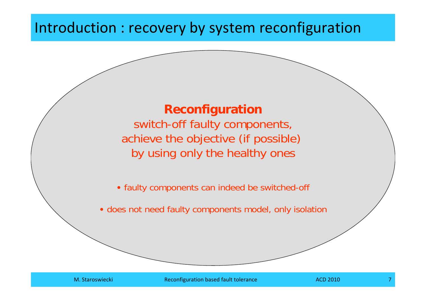## Introduction : recovery by system reconfiguration

### **Reconfiguration**

switch-off faulty components, achieve the objective (if possible) by using only the healthy ones

• faulty components can indeed be switched-off

• does not need faulty components model, only isolation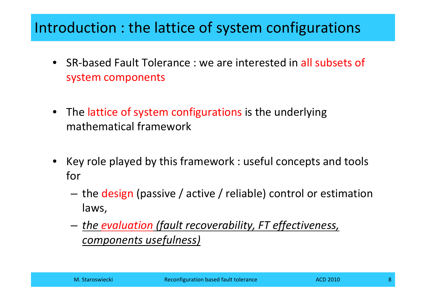## Introduction : the lattice of system configurations

- SR-based Fault Tolerance : we are interested in all subsets of system components
- **•** The lattice of system configurations is the underlying mathematical framework
- Key role played by this framework : useful concepts and tools for
	- the design (passive / active / reliable) control or estimation laws,
	- *the evaluation (fault recoverability, FT effectiveness, components usefulness)*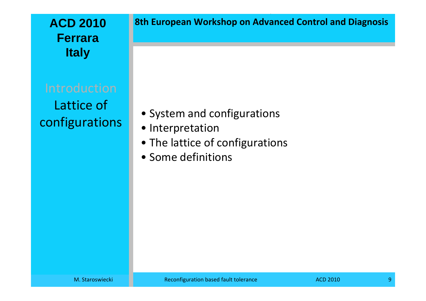### **ACD 2010FerraraItaly**

Lattice of configurations

• System and configurations

- Interpretation
- The lattice of configurations
- Some definitions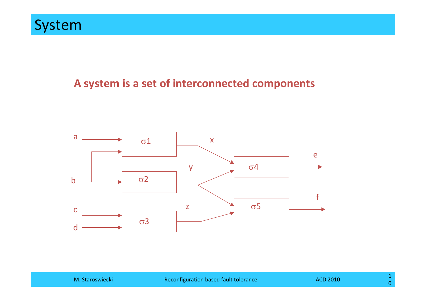#### **A system is <sup>a</sup> set of interconnected components**

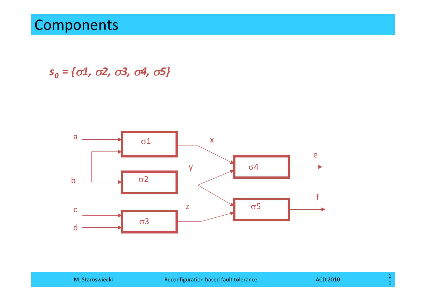### Components

*s0 <sup>=</sup> {*σ*1,* <sup>σ</sup>*2,* <sup>σ</sup>*3,* <sup>σ</sup>*4,* <sup>σ</sup>*5}*

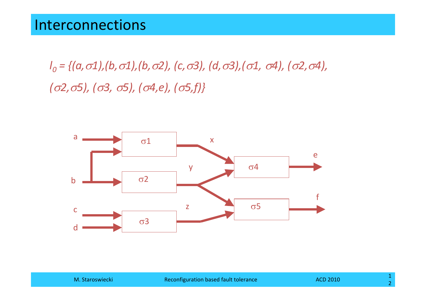*l0 <sup>=</sup> {(a,*σ*1),(b,*σ*1),(b,*σ*2), (c,*σ*3), (d,*σ*3),(*σ*1,* <sup>σ</sup>*4), (*σ*2,*σ*4), (*σ*2,*σ*5), (*σ*3,* <sup>σ</sup>*5), (*σ*4,e), (*σ*5,f)}*

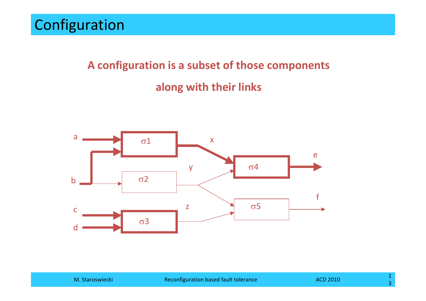# **A configuration is <sup>a</sup> subset of those components along with their links**

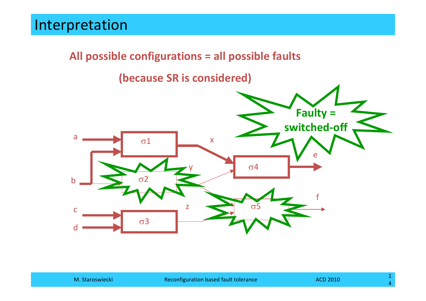#### **All possible configurations <sup>=</sup> all possible faults**

**(because SR is considered)**

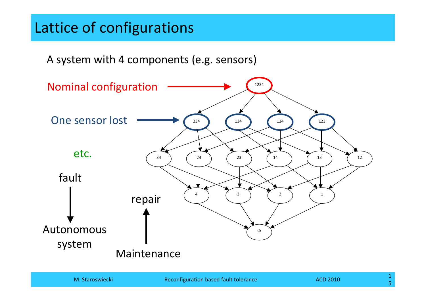## Lattice of configurations

A system with 4 components (e.g. sensors)

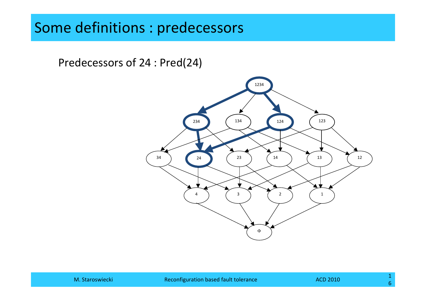## Some definitions : predecessors

Predecessors of 24 : Pred(24)

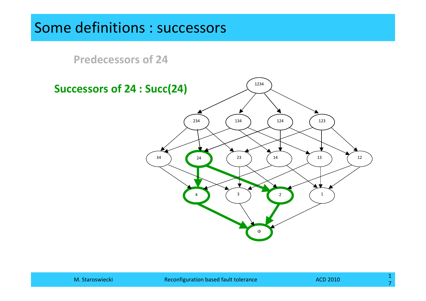### Some definitions : successors

**Predecessors of 24**

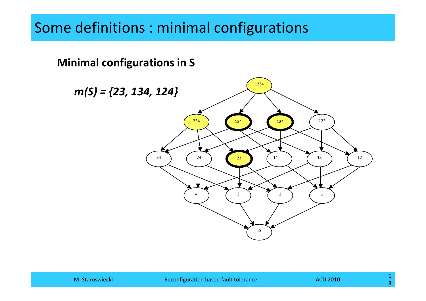## Some definitions : minimal configurations

#### **Minimal configurations in S**

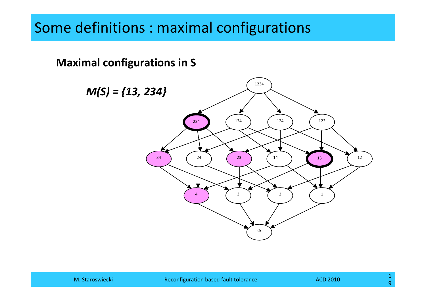## Some definitions : maximal configurations

#### **Maximal configurations in S**

*M(S) <sup>=</sup> {13, 234}*

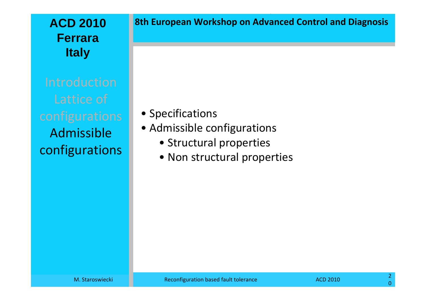### **ACD 2010FerraraItaly**

Admissibleconfigurations **8th European Workshop on Advanced Control and Diagnosis**

- Specifications
- Admissible configurations
	- Structural properties
	- Non structural properties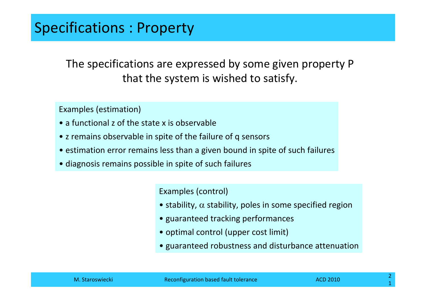The specifications are expressed by some given property P that the system is wished to satisfy.

Examples (estimation)

- a functional z of the state x is observable
- <sup>z</sup> remains observable in spite of the failure of q sensors
- estimation error remains less than <sup>a</sup> given bound in spite of such failures
- diagnosis remains possible in spite of such failures

Examples (control)

- stability,  $\alpha$  stability, poles in some specified region
- guaranteed tracking performances
- optimal control (upper cost limit)
- guaranteed robustness and disturbance attenuation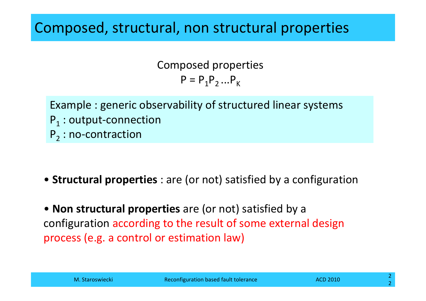### Composed, structural, non structural properties

Composed properties  $P = P_1 P_2 ... P_K$ 

Example : generic observability of structured linear systems  $\mathsf{P}_1$  : output-connection  $\mathsf{P}_2^{}$  : no-contraction

• **Structural properties** : are (or not) satisfied by <sup>a</sup> configuration

• **Non structural properties** are (or not) satisfied by <sup>a</sup> configuration according to the result of some external design process (e.g. <sup>a</sup> control or estimation law)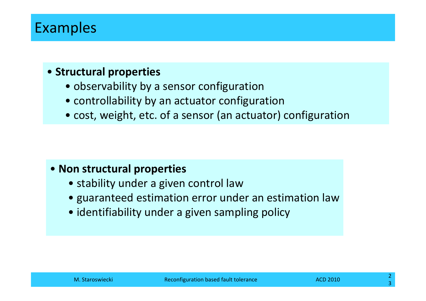## Examples

#### • **Structural properties**

- observability by <sup>a</sup> sensor configuration
- controllability by an actuator configuration
- cost, weight, etc. of <sup>a</sup> sensor (an actuator) configuration

#### • **Non structural properties**

- stability under <sup>a</sup> given control law
- guaranteed estimation error under an estimation law
- identifiability under <sup>a</sup> given sampling policy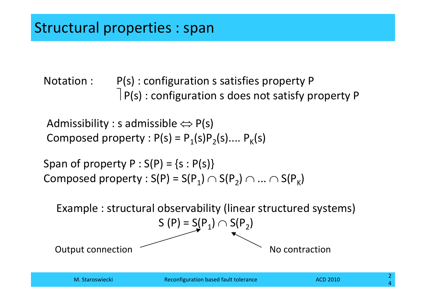Notation : : P(s) : configuration <sup>s</sup> satisfies property P ⎤ P(s) : configuration <sup>s</sup> does not satisfy property <sup>P</sup>

Admissibility : s admissible  $\Leftrightarrow P(s)$ Composed property :  $P(s) = P_1(s)P_2(s)$ ....  $P_k(s)$ 

Span of property  $P : S(P) = \{s : P(s)\}\$ Composed property :  $S(P) = S(P_1) \cap S(P_2) \cap ... \cap S(P_K)$ 

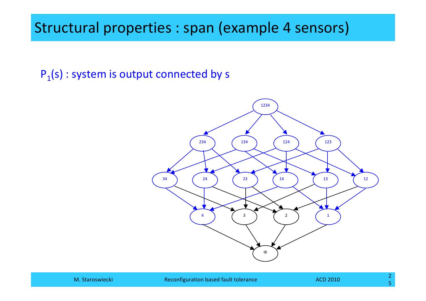$P_1(s)$  : system is output connected by s

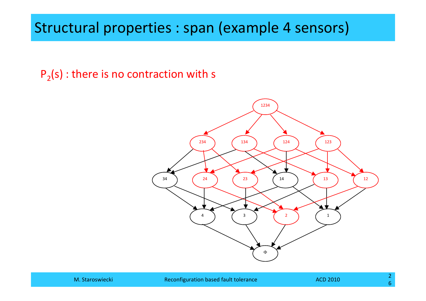$P<sub>2</sub>(s)$ : there is no contraction with s

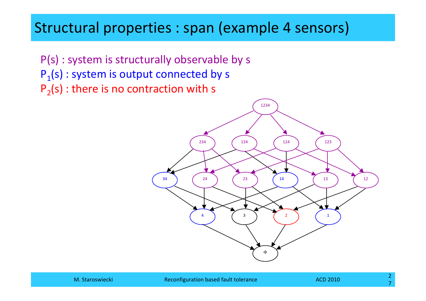P(s) : system is structurally observable by <sup>s</sup>  $P_1(s)$ : system is output connected by s  $P<sub>2</sub>(s)$ : there is no contraction with s

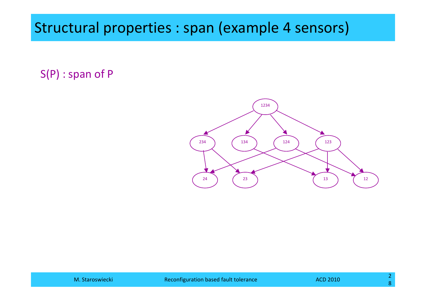S(P) : span of P

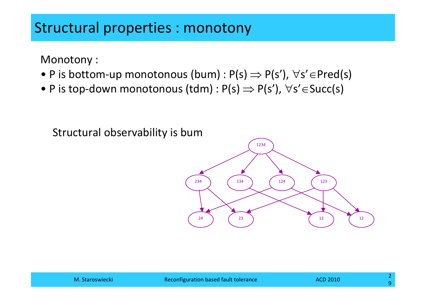Monotony :

- P is bottom-up monotonous (bum) : P(s)  $\Rightarrow$  P(s'),  $\forall$ s' $\in$ Pred(s)
- P is top-down monotonous (tdm) : P(s)  $\Rightarrow$  P(s'),  $\forall$ s' $\in$ Succ(s)

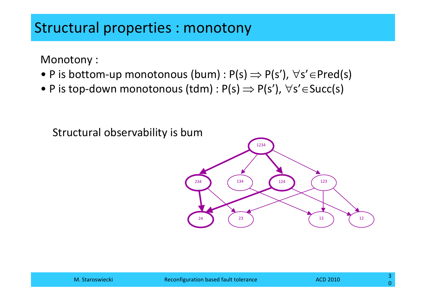Monotony :

- P is bottom-up monotonous (bum) : P(s)  $\Rightarrow$  P(s'),  $\forall$ s' $\in$ Pred(s)
- P is top-down monotonous (tdm) : P(s)  $\Rightarrow$  P(s'),  $\forall$ s' $\in$ Succ(s)

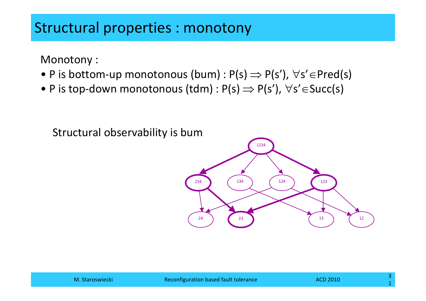Monotony :

- P is bottom-up monotonous (bum) : P(s)  $\Rightarrow$  P(s'),  $\forall$ s' $\in$ Pred(s)
- P is top-down monotonous (tdm) : P(s)  $\Rightarrow$  P(s'),  $\forall$ s' $\in$ Succ(s)



Structural observability is bum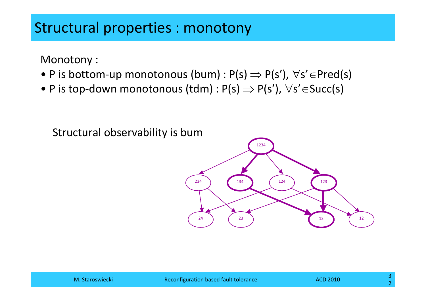Monotony :

- P is bottom-up monotonous (bum) : P(s)  $\Rightarrow$  P(s'),  $\forall$ s' $\in$ Pred(s)
- P is top-down monotonous (tdm) : P(s)  $\Rightarrow$  P(s'),  $\forall$ s' $\in$ Succ(s)



Structural observability is bum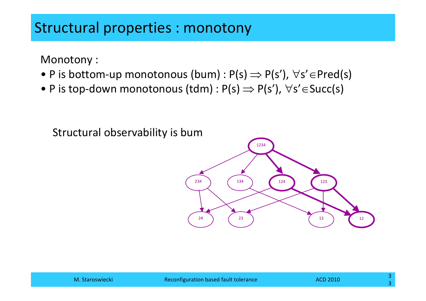Monotony :

- P is bottom-up monotonous (bum) : P(s)  $\Rightarrow$  P(s'),  $\forall$ s' $\in$ Pred(s)
- P is top-down monotonous (tdm) : P(s)  $\Rightarrow$  P(s'),  $\forall$ s' $\in$ Succ(s)

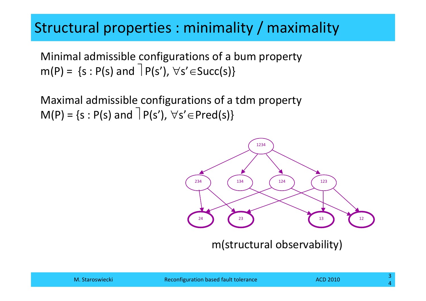## Structural properties : minimality / maximality

Minimal admissible configurations of <sup>a</sup> bum property  $m(P) = \{s : P(s) \text{ and } P(s')\}$ ,  $\forall s' \in Succ(s)\}$ 

Maximal admissible configurations of <sup>a</sup> tdm property  $M(P) = \{s : P(s) \text{ and } P(s')\}$ ,  $\forall s' \in Pred(s)\}$ 



m(structural observability)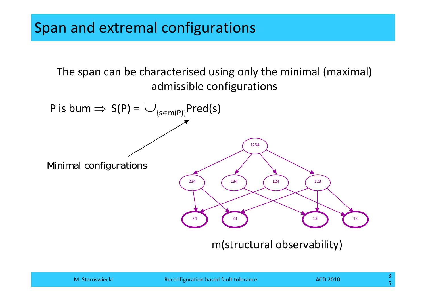The span can be characterised using only the minimal (maximal) admissible configurations



m(structural observability)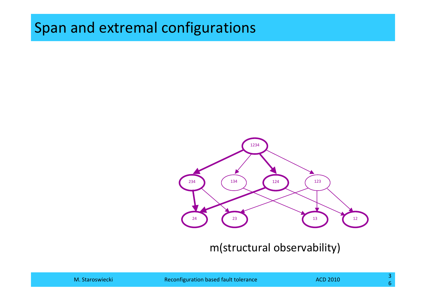### Span and extremal configurations



m(structural observability)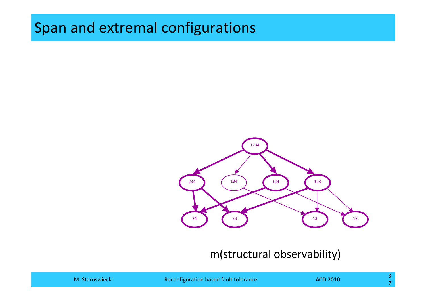## Span and extremal configurations



#### m(structural observability)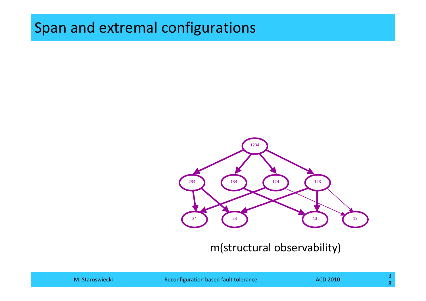## Span and extremal configurations



m(structural observability)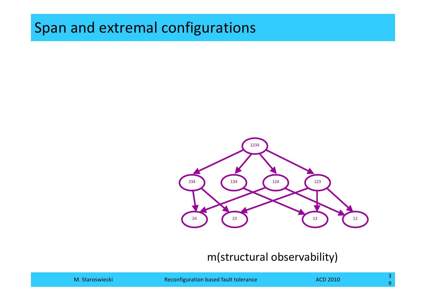## Span and extremal configurations



#### m(structural observability)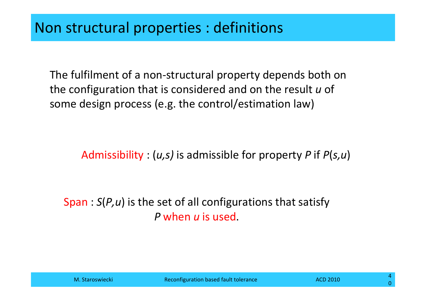The fulfilment of <sup>a</sup> non‐structural property depends both on the configuration that is considered and on the result *<sup>u</sup>* of some design process (e.g. the control/estimation law)

Admissibility : (*u,s)* is admissible for property *P* if *P*(*s,u*)

#### Span : *S*(*P,u*) is the set of all configurations that satisfy *P* when *<sup>u</sup>* is used.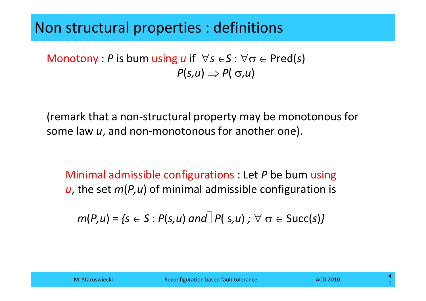### Non structural properties : definitions

Monotony : *P* is bum using *u* if  $\forall s \in S : \forall \sigma \in Pred(s)$  $P(s, u) \Rightarrow P(\sigma, u)$ 

(remark that <sup>a</sup> non‐structural property may be monotonous for some law *<sup>u</sup>*, and non‐monotonous for another one).

Minimal admissible configurations : Let *P* be bum using *<sup>u</sup>*, the set *<sup>m</sup>*(*P,u*) of minimal admissible configuration is

 $m(P, u) = \{s \in S : P(s, u) \text{ and } P(s, u) : \forall \sigma \in S \cup C(s)\}$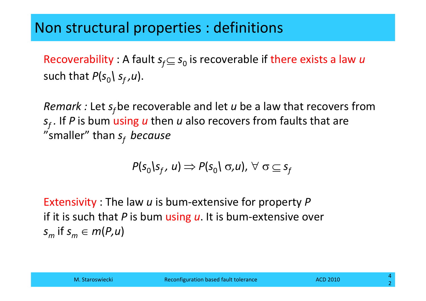## Non structural properties : definitions

Recoverability : A fault  $s_f \subseteq s_0$  is recoverable if there exists a law *u* such that  $P(s_{0} \nmid s_{f}^{} , u)$ .

*Remark :* Let  $s_f$ be recoverable and let *u* be a law that recovers from *s*<sub>f</sub>. If *P* is bum using *u* then *u* also recovers from faults that are "smaller" than *sf because*

$$
P(s_0|s_f, u) \Rightarrow P(s_0| \sigma, u), \forall \sigma \subseteq s_f
$$

Extensivity : The law *<sup>u</sup>* is bum‐extensive for property *P* if it is such that *P* is bum using *<sup>u</sup>*. It is bum‐extensive over  $s_m$  if  $s_m \in m(P,u)$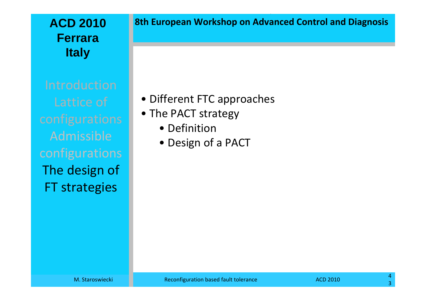#### **ACD 2010FerraraItaly**

Admissibleconfigurations The design of FT strategies

#### **8th European Workshop on Advanced Control and Diagnosis**

• Different FTC approaches

- The PACT strategy
	- Definition
	- Design of <sup>a</sup> PACT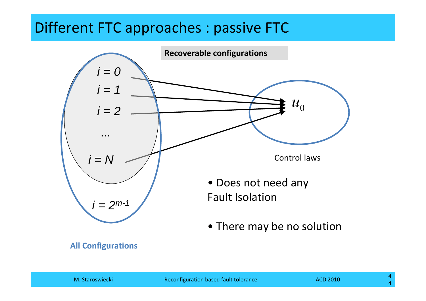## Different FTC approaches : passive FTC



#### **All Configurations**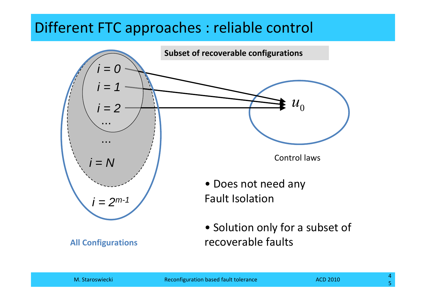## Different FTC approaches : reliable control



**All Configurations**

• Solution only for <sup>a</sup> subset of recoverable faults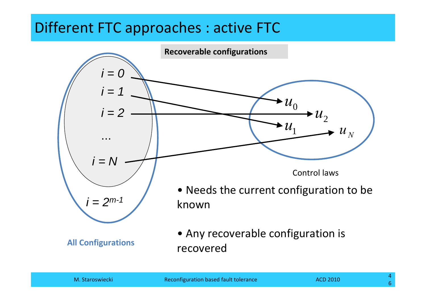## Different FTC approaches : active FTC

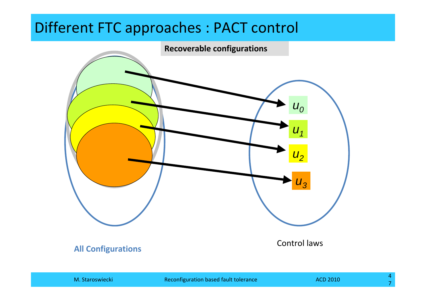### Different FTC approaches : PACT control

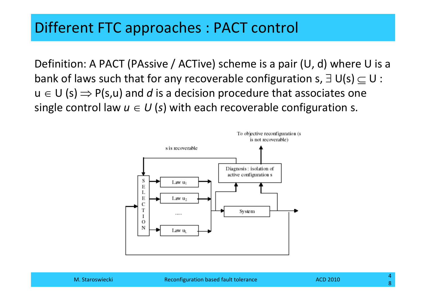### Different FTC approaches : PACT control

Definition: A PACT (PAssive / ACTive) scheme is <sup>a</sup> pair (U, d) where U is <sup>a</sup> bank of laws such that for any recoverable configuration s,  $\exists\,\, \sf U({\sf s})\subseteq\sf U$  :  $u \in U$  (s)  $\Rightarrow$  P(s,u) and  $d$  is a decision procedure that associates one single control law  $u \in U$  (s) with each recoverable configuration s.

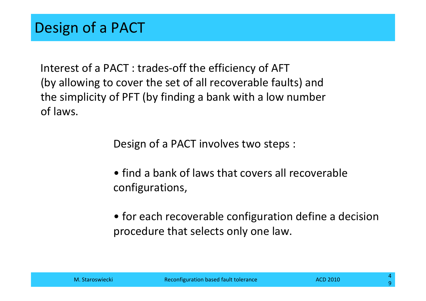Interest of <sup>a</sup> PACT : trades‐off the efficiency of AFT (by allowing to cover the set of all recoverable faults) and the simplicity of PFT (by finding <sup>a</sup> bank with <sup>a</sup> low number of laws.

Design of <sup>a</sup> PACT involves two steps :

- find <sup>a</sup> bank of laws that covers all recoverable configurations,
- for each recoverable configuration define <sup>a</sup> decision procedure that selects only one law.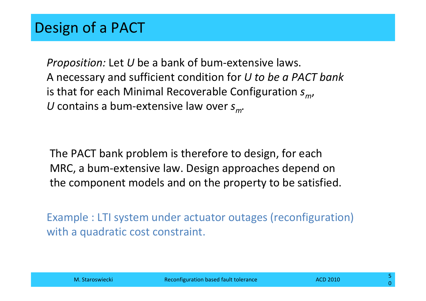*Proposition:* Let *U* be a bank of bum-extensive laws. A necessary and sufficient condition for *U to be <sup>a</sup> PACT bank* is that for each Minimal Recoverable Configuration  $s_m^{\phantom{\dag}}$ , U contains a bum-extensive law over  $s_m$ .

The PACT bank problem is therefore to design, for each MRC, <sup>a</sup> bum‐extensive law. Design approaches depend on the component models and on the property to be satisfied.

Example : LTI system under actuator outages (reconfiguration) with <sup>a</sup> quadratic cost constraint.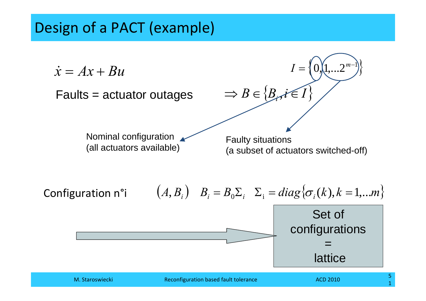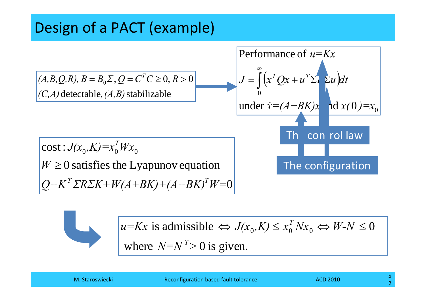



where  $N=N^2>0$  is given.  $u=Kx$  is admissible  $\Leftrightarrow J(x_0,K)\leq x_0^T Nx_0 \Leftrightarrow W-N\leq 0$ *T*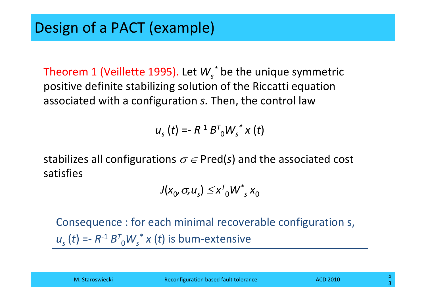Theorem <sup>1</sup> (Veillette 1995). Let *Ws\** be the unique symmetric positive definite stabilizing solution of the Riccatti equation associated with <sup>a</sup> configuration *s.* Then, the control law

$$
u_{s}(t) = R^{-1} B^{T}_{0} W_{s}^{*} x(t)
$$

stabilizes all configurations  $\sigma\in$  Pred(s) and the associated cost satisfies

$$
J(x_0, \sigma, u_s) \leq x^T W^*_{s} x_0
$$

Consequence : for each minimal recoverable configuration s, *us* (*t*) <sup>=</sup>*‐ <sup>R</sup>‐*<sup>1</sup> *<sup>B</sup><sup>T</sup>*0*Ws\* <sup>x</sup>* (*t*) is bum‐extensive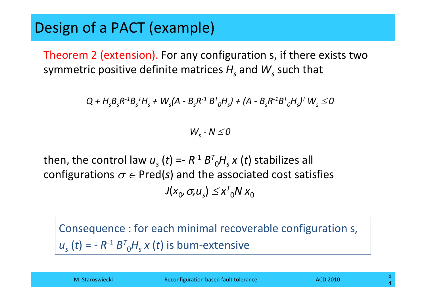Theorem 2 (extension). For any configuration s, if there exists two symmetric positive definite matrices  $H_{\overline{s}}$  and  $\overline{\mathsf{W}}_{\overline{s}}$  such that

 $Q + H_{\rm s} B_{\rm s} R^{\text{-}1} B_{\rm s}^{\text{-}7} H_{\rm s} + W_{\rm s} (A - B_{\rm s} R^{\text{-}1} B^{\text{T}}_{\text{O}} H_{\rm s}) + (A - B_{\rm s} R^{\text{-}1} B^{\text{T}}_{\text{O}} H_{\rm s})^{\text{T}} W_{\rm s} \leq 0$ 

*Ws ‐ <sup>N</sup>* <sup>≤</sup> *0*

then, the control law  $u_s$  (*t*) =-  $R$ <sup>-1</sup>  $B^\mathsf{T}{}_0\mathsf{H}_s$   $x$  (*t*) stabilizes all configurations  $\sigma \in \text{Pred}(s)$  and the associated cost satisfies  $J(x_0, \sigma, u_s) \leq x_{0}^{T} N x_0$ 

Consequence : for each minimal recoverable configuration s, *us* (*t*) <sup>=</sup> *‐ <sup>R</sup>‐*<sup>1</sup> *<sup>B</sup><sup>T</sup>*0*Hs <sup>x</sup>* (*t*) is bum‐extensive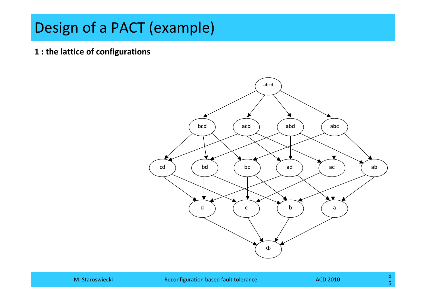**1 : the lattice of configurations**

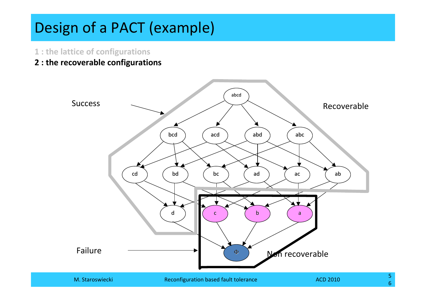- **1 : the lattice of configurations**
- **2 : the recoverable configurations**

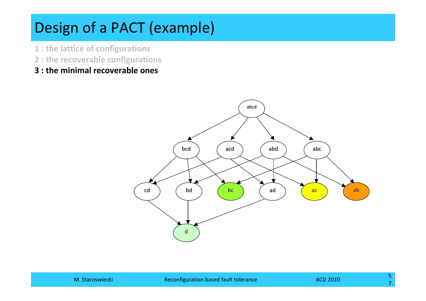- **1 : the lattice of configurations**
- **2 : the recoverable configurations**
- **3 : the minimal recoverable ones**

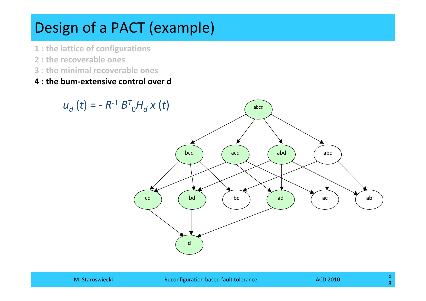- **1 : the lattice of configurations**
- **2 : the recoverable ones**
- **3 : the minimal recoverable ones**
- **4 : the bum‐extensive control over d**

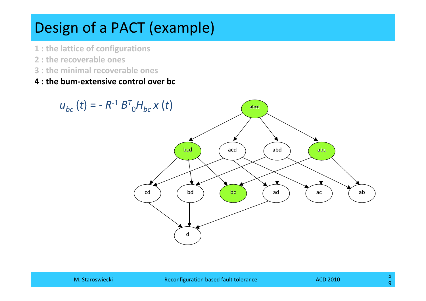- **1 : the lattice of configurations**
- **2 : the recoverable ones**
- **3 : the minimal recoverable ones**
- **4 : the bum‐extensive control over bc**

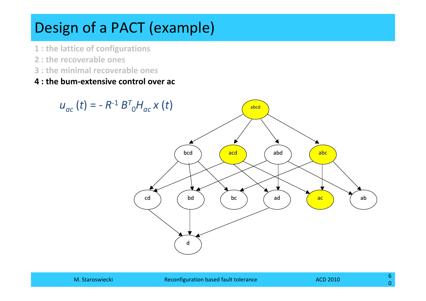- **1 : the lattice of configurations**
- **2 : the recoverable ones**
- **3 : the minimal recoverable ones**
- **4 : the bum‐extensive control over ac**

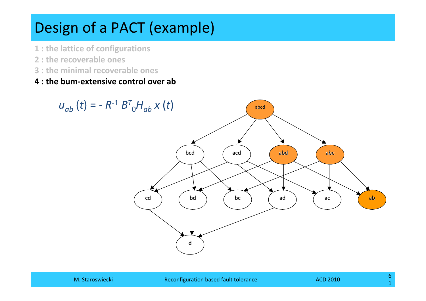- **1 : the lattice of configurations**
- **2 : the recoverable ones**
- **3 : the minimal recoverable ones**
- **4 : the bum‐extensive control over ab**

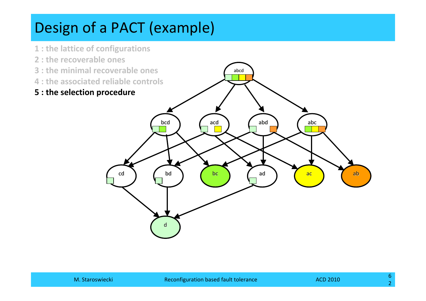- **1 : the lattice of configurations**
- **2 : the recoverable ones**
- **3 : the minimal recoverable ones**
- **4 : the associated reliable controls**
- **5 : the selection procedure**

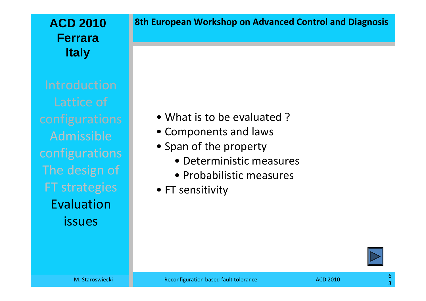#### **ACD 2010FerraraItaly**

Admissibleconfigurations The design of FT strategies Evaluationissues

#### **8th European Workshop on Advanced Control and Diagnosis**

- What is to be evaluated?
- Components and laws
- Span of the property
	- Deterministic measures
	- Probabilistic measures
- FT sensitivity

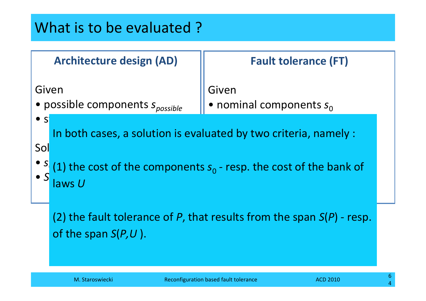## What is to be evaluated ?

|                                                                          | <b>Architecture design (AD)</b>                                                                    | <b>Fault tolerance (FT)</b>                                                                                                                                                     |
|--------------------------------------------------------------------------|----------------------------------------------------------------------------------------------------|---------------------------------------------------------------------------------------------------------------------------------------------------------------------------------|
| Given<br>• possible components spossible<br>$\bullet$ S<br>Sol<br>laws U |                                                                                                    | Given<br>• nominal components $s_0$<br>In both cases, a solution is evaluated by two criteria, namely :<br>(1) the cost of the components $s_0$ - resp. the cost of the bank of |
|                                                                          | (2) the fault tolerance of P, that results from the span $S(P)$ - resp.<br>of the span $S(P, U)$ . |                                                                                                                                                                                 |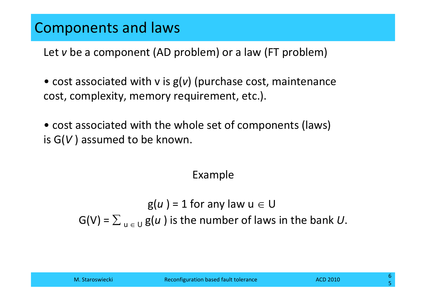## Components and laws

Let *v* be <sup>a</sup> component (AD problem) or <sup>a</sup> law (FT problem)

• cost associated with <sup>v</sup> is g(*v*) (purchase cost, maintenance cost, complexity, memory requirement, etc.).

• cost associated with the whole set of components (laws) is G(*V* ) assumed to be known.

#### Example

 $g(u) = 1$  for any law  $u \in U$  $G(V)$  =  $\sum_{|u| \in U} g(u)$  is the number of laws in the bank  $U.$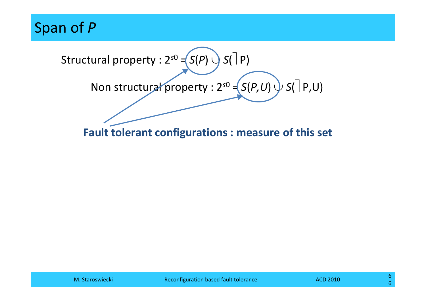Span of *P*

Structural property : <sup>2</sup>*s*<sup>0</sup> <sup>=</sup> *<sup>S</sup>*(*P*) <sup>∪</sup> *<sup>S</sup>*(⎤ P) Non structural property : <sup>2</sup>*s*<sup>0</sup> <sup>=</sup> *<sup>S</sup>*(*P,U*) <sup>∪</sup> *<sup>S</sup>*(⎤ P,U)

**Fault tolerant configurations : measure of this set**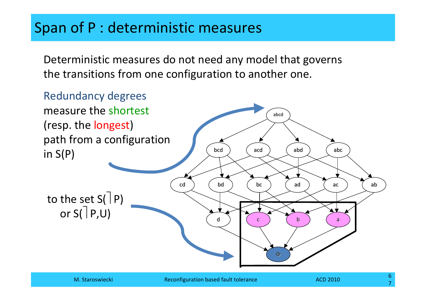## Span of P : deterministic measures

Deterministic measures do not need any model that governs the transitions from one configuration to another one.

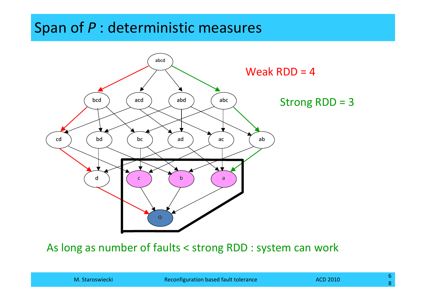## Span of *P* : deterministic measures



#### As long as number of faults <sup>&</sup>lt; strong RDD : system can work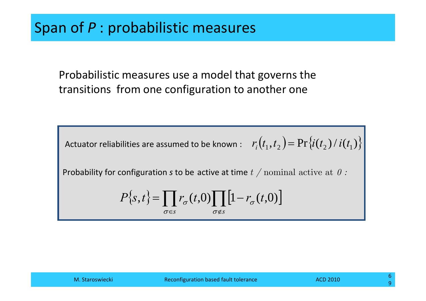Probabilistic measures use <sup>a</sup> model that governs the transitions from one configuration to another one

Actuator reliabilities are assumed to be known :  $\quad r_i\big(t_1,t_2\big) {=} \Pr\bigl\{i(t_2)\,/\,i(t_1)\bigr\}$ 

Probability for configuration *<sup>s</sup>* to be active at time *t /* nominal active at *0 :* 

$$
P\{\mathbf{s},t\} = \prod_{\sigma \in \mathbf{s}} r_{\sigma}(t,0) \prod_{\sigma \notin \mathbf{s}} \left[1 - r_{\sigma}(t,0)\right]
$$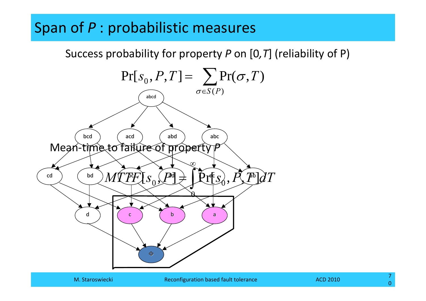## Span of *P* : probabilistic measures

Success probability for property *P* on [0*,T*] (reliability of P)

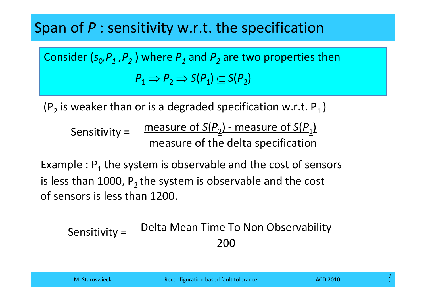## Span of *P* : sensitivity w.r.t. the specification

Consider ( $s_{0}$ , $P_{1}$  , $P_{2}$  ) where  $P_{1}$  and  $P_{2}$  are two properties then  $P_1 \Rightarrow P_2 \Rightarrow S(P_1) \subseteq S(P_2)$ 

(P<sub>2</sub> is weaker than or is a degraded specification w.r.t. P<sub>1</sub> )

measure of *<sup>S</sup>*(*P*2) ‐ measure of *<sup>S</sup>*(*P*1) measure of the delta specification Sensitivity <sup>=</sup>

Example :  $\mathsf{P}_1$  the system is observable and the cost of sensors is less than 1000,  $\mathsf{P}_2$  the system is observable and the cost of sensors is less than 1200.

Delta Mean Time To Non Observability 200Sensitivity <sup>=</sup>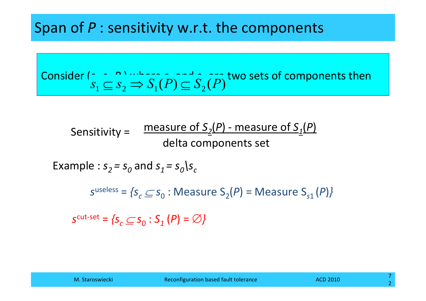## Span of *P* : sensitivity w.r.t. the components

Consider 
$$
\binom{n}{s_1} \subseteq S_2 \implies S_1(P) \subseteq S_2(P)
$$
 two sets of components then

measure of *S2*(*P*) ‐ measure of *S1*(*P*) delta components set Sensitivity <sup>=</sup>

Example :  $s_2$  =  $s_0$  and  $s_1$  =  $s_0$ \s<sub>c</sub>

 $s^{\text{useless}} = \{s_c \subseteq s_0 : \text{Measure } S_2(P) = \text{Measure } S_{s1}(P)\}$ 

 $\mathcal{S}^{\text{cut-set}} = \{ \mathcal{S}_c \subseteq \mathcal{S}_0 : \mathcal{S}_1^-(P) = \varnothing \}$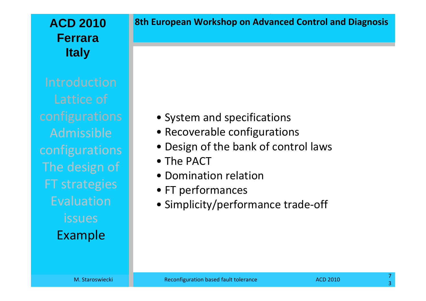#### **ACD 2010FerraraItaly**

Admissibleconfigurations The design of FT strategies EvaluationissuesExample

#### **8th European Workshop on Advanced Control and Diagnosis**

- System and specifications
- Recoverable configurations
- Design of the bank of control laws
- The PACT
- Domination relation
- FT performances
- Simplicity/performance trade‐off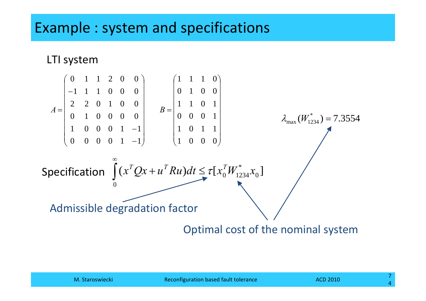### Example : system and specifications

#### LTI system

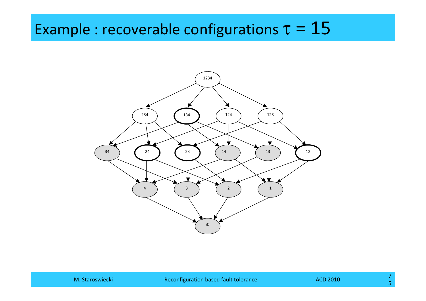# Example : recoverable configurations  $\tau = 15$

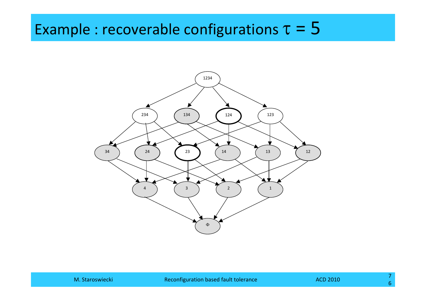# Example : recoverable configurations  $\tau = 5$

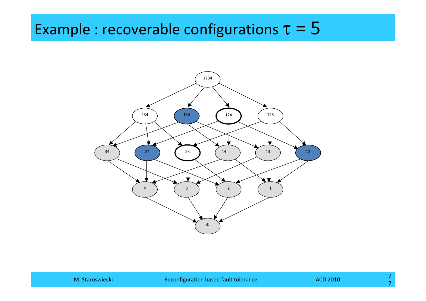# Example : recoverable configurations  $\tau = 5$

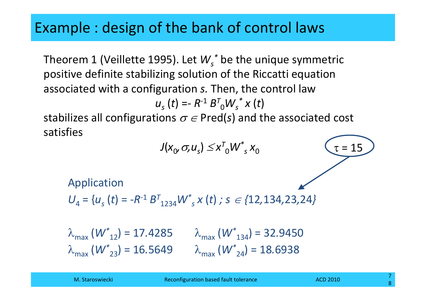# Example : design of the bank of control laws

Theorem <sup>1</sup> (Veillette 1995). Let *Ws\** be the unique symmetric positive definite stabilizing solution of the Riccatti equation associated with <sup>a</sup> configuration *s.* Then, the control law

*us* (*t*) <sup>=</sup>*‐ <sup>R</sup>‐*<sup>1</sup> *<sup>B</sup><sup>T</sup>*0*Ws\* <sup>x</sup>* (*t*)

stabilizes all configurations  $\sigma$   $\in$  Pred(s) and the associated cost satisfies

$$
J(x_0, \sigma, u_s) \le x^T_0 W^*_{s} x_0
$$
\nApplication

\n
$$
U_4 = \{u_s(t) = -R^{-1} B^T_{1234} W^*_{s} x(t) \; ; \; s \in \{12, 134, 23, 24\}
$$
\n
$$
\lambda_{\text{max}} (W^*_{12}) = 17.4285 \qquad \lambda_{\text{max}} (W^*_{134}) = 32.9450
$$
\n
$$
\lambda_{\text{max}} (W^*_{23}) = 16.5649 \qquad \lambda_{\text{max}} (W^*_{24}) = 18.6938
$$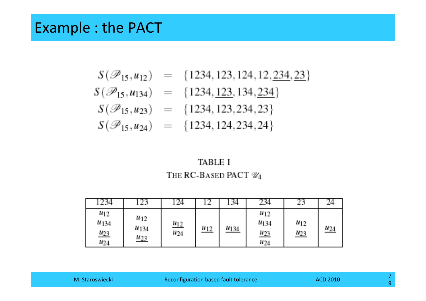#### Example : the PACT

$$
S(\mathcal{P}_{15}, u_{12}) = \{1234, 123, 124, 12, \underline{234}, \underline{23}\}
$$
  
\n
$$
S(\mathcal{P}_{15}, u_{134}) = \{1234, \underline{123}, 134, \underline{234}\}
$$
  
\n
$$
S(\mathcal{P}_{15}, u_{23}) = \{1234, 123, 234, 23\}
$$
  
\n
$$
S(\mathcal{P}_{15}, u_{24}) = \{1234, 124, 234, 24\}
$$

#### **TABLE I** THE RC-BASED PACT  $\mathcal{U}_4$

|                                                  |                                     |                         |          | -34  | 234                                         |                        |            |
|--------------------------------------------------|-------------------------------------|-------------------------|----------|------|---------------------------------------------|------------------------|------------|
| $w_{12}$<br>M <sub>134</sub><br>M23<br>$W_{2,4}$ | $u_{12}$<br><i>W134</i><br>$u_{23}$ | $\frac{u_{12}}{u_{24}}$ | $u_{12}$ | M134 | $W_{12}$<br>M134<br>$\frac{u_{23}}{u_{24}}$ | $^{M12}$<br><u>u23</u> | $\mu_{24}$ |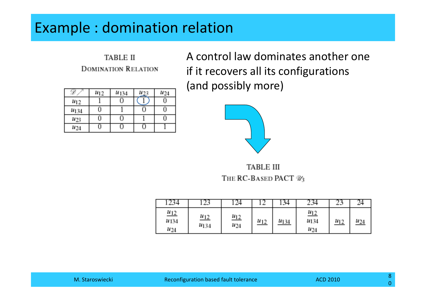# Example : domination relation

**TABLE II DOMINATION RELATION** 

|                  | $M_{1,2}$ | M <sub>134</sub> | M23 | $M_{24}$ |
|------------------|-----------|------------------|-----|----------|
| $u_{12}$         |           |                  |     |          |
| M <sub>134</sub> | U         |                  |     |          |
| $u_{23}$         | Ω         |                  |     |          |
| W24              |           |                  |     |          |

A control law dominates another one if it recovers all its configurations (and possibly more)



**TABLE III** THE RC-BASED PACT %

|                                             |                                 | -24                                        |       | . 34 |                                             | المناصب  |     |
|---------------------------------------------|---------------------------------|--------------------------------------------|-------|------|---------------------------------------------|----------|-----|
| $\frac{u_{12}}{u_{12}}$<br>W134<br>$w_{24}$ | $\frac{M_{12}}{M_{12}}$<br>M134 | $\frac{M_{12}}{M_{12}}$<br>M <sub>24</sub> | $u12$ | M134 | $\frac{M_{12}}{M_{12}}$<br>8434<br>$u_{24}$ | $u_{12}$ | M24 |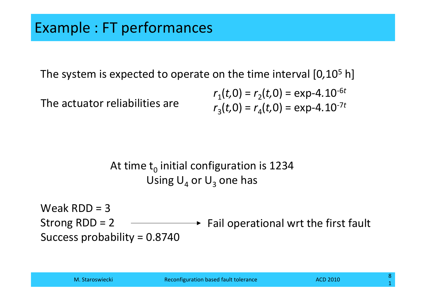The system is expected to operate on the time interval [0*,*10<sup>5</sup> h]

The actuator reliabilities are

$$
r_1(t,0) = r_2(t,0) = \exp{-4.10^{-6t}}
$$
  

$$
r_3(t,0) = r_4(t,0) = \exp{-4.10^{-7t}}
$$

#### At time  $\mathsf{t}_0$  initial configuration is 1234 Using  $\mathsf{U}_4$  or  $\mathsf{U}_3$  one has

Weak RDD <sup>=</sup> 3 Strong RDD <sup>=</sup> 2 Success probability <sup>=</sup> 0.8740 Fail operational wrt the first fault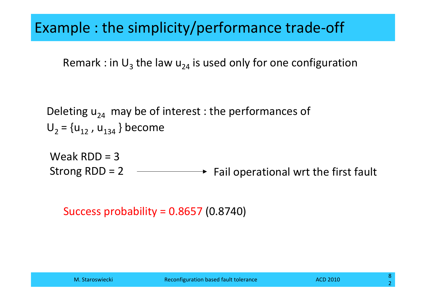### Example : the simplicity/performance trade‐off

Remark : in  $\mathsf{U}_3$  the law  $\mathsf{u}_{24}$  is used only for one configuration

Deleting  $u_{24}^{\phantom{\dag}}$  may be of interest : the performances of U<sub>2</sub> = {u<sub>12</sub> , u<sub>134</sub> } become

Weak RDD <sup>=</sup> 3 Strong RDD = 2  $\longrightarrow$  Fail operational wrt the first fault

Success probability <sup>=</sup> 0.8657 (0.8740)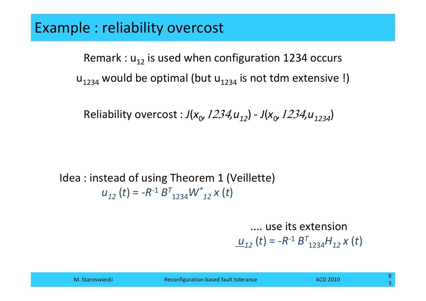#### Example : reliability overcost

Remark :  ${\sf u}_{12}$  is used when configuration 1234 occurs  $\mathsf{u}_{1234}$  would be optimal (but  $\mathsf{u}_{1234}$  is not tdm extensive !)

Reliability overcost :  $J(x_0, 1234, u_{12}) - J(x_0, 1234, u_{1234})$ 

Idea : instead of using Theorem 1 (Veillette) *u12* (*t*) <sup>=</sup> *‐R‐*<sup>1</sup> *<sup>B</sup><sup>T</sup>*1234*<sup>W</sup>\*12 <sup>x</sup>* (*t*)

#### .... use its extension

 $\underline{u}_{12}$  (*t*) = -R<sup>-1</sup>  $B^{T}_{1234}H_{12}$  *x* (*t*)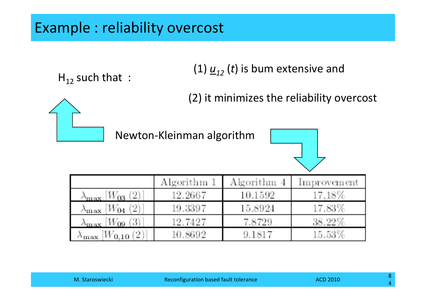### Example : reliability overcost

(1)  $\underline{u}_{12}$  (*t*) is bum extensive and

(2) it minimizes the reliability overcost

Newton‐Kleinman algorithm





 ${\sf H}_{12}$  such that  $\,$  :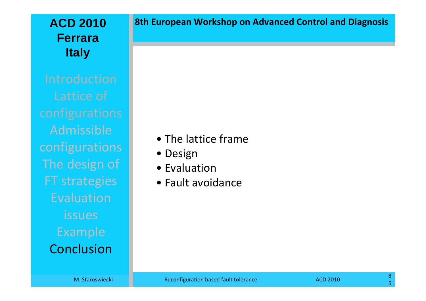#### **ACD 2010FerraraItaly**

Admissibleconfigurations The design of FT strategies EvaluationissuesConclusion

#### **8th European Workshop on Advanced Control and Diagnosis**

- The lattice frame
- Design
- Evaluation
- Fault avoidance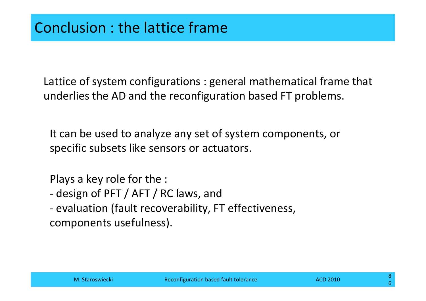Lattice of system configurations : general mathematical frame that underlies the AD and the reconfiguration based FT problems.

It can be used to analyze any set of system components, or specific subsets like sensors or actuators.

Plays <sup>a</sup> key role for the :

- ‐design of PFT / AFT / RC laws, and
- ‐ evaluation (fault recoverability, FT effectiveness, components usefulness).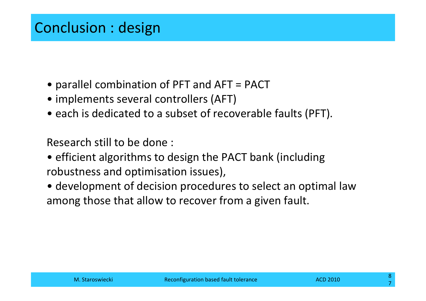- parallel combination of PFT and AFT <sup>=</sup> PACT
- implements several controllers (AFT)
- each is dedicated to <sup>a</sup> subset of recoverable faults (PFT).

Research still to be done :

- efficient algorithms to design the PACT bank (including robustness and optimisation issues),
- development of decision procedures to select an optimal law among those that allow to recover from <sup>a</sup> given fault.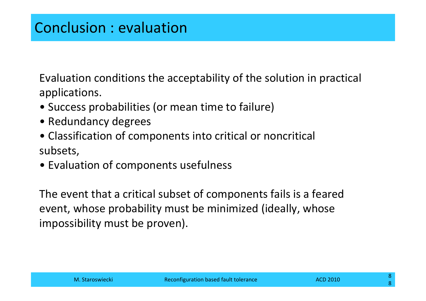Evaluation conditions the acceptability of the solution in practical applications.

- Success probabilities (or mean time to failure)
- Redundancy degrees
- Classification of components into critical or noncritical subsets,
- Evaluation of components usefulness

The event that <sup>a</sup> critical subset of components fails is <sup>a</sup> feared event, whose probability must be minimized (ideally, whose impossibility must be proven).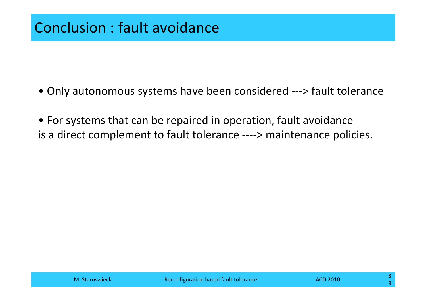- Only autonomous systems have been considered ‐‐‐<sup>&</sup>gt; fault tolerance
- For systems that can be repaired in operation, fault avoidance is a direct complement to fault tolerance ‐‐‐‐<sup>&</sup>gt; maintenance policies.